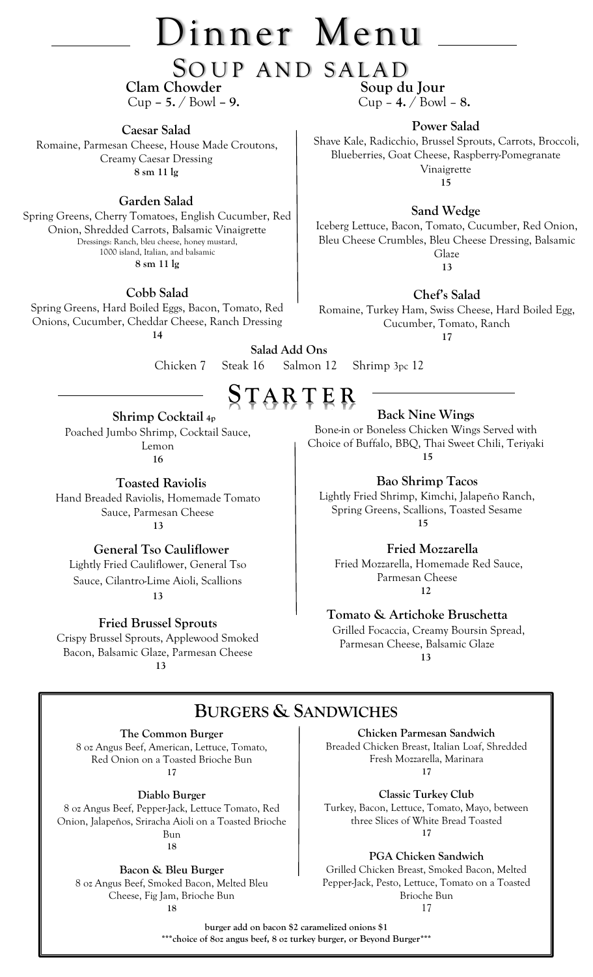# Dinner Menu

SOUP AND SALAD<br>Chowder Soup du Jour

**Clam Chowder** Cup **– 5.** / Bowl **– 9.** Cup – **4.** / Bowl – **8.**

**Caesar Salad**  Romaine, Parmesan Cheese, House Made Croutons, Creamy Caesar Dressing **8 sm 11 lg**

### **Garden Salad**

Spring Greens, Cherry Tomatoes, English Cucumber, Red Onion, Shredded Carrots, Balsamic Vinaigrette Dressings: Ranch, bleu cheese, honey mustard, 1000 island, Italian, and balsamic **8 sm 11 lg**

**Cobb Salad**

Spring Greens, Hard Boiled Eggs, Bacon, Tomato, Red Onions, Cucumber, Cheddar Cheese, Ranch Dressing **14**

**Power Salad** Shave Kale, Radicchio, Brussel Sprouts, Carrots, Broccoli, Blueberries, Goat Cheese, Raspberry-Pomegranate Vinaigrette **15**

**Sand Wedge**

Iceberg Lettuce, Bacon, Tomato, Cucumber, Red Onion, Bleu Cheese Crumbles, Bleu Cheese Dressing, Balsamic Glaze **13**

**Chef's Salad**

Romaine, Turkey Ham, Swiss Cheese, Hard Boiled Egg, Cucumber, Tomato, Ranch

**17**

**Salad Add Ons** Chicken 7Steak 16Salmon 12Shrimp 3pc 12

# **S T AR T E R**

 **Shrimp Cocktail 4p** Poached Jumbo Shrimp, Cocktail Sauce, Lemon **16**

 **Toasted Raviolis** Hand Breaded Raviolis, Homemade Tomato Sauce, Parmesan Cheese  **13**

 **General Tso Cauliflower** Lightly Fried Cauliflower, General Tso Sauce, Cilantro-Lime Aioli, Scallions

**13**

**Fried Brussel Sprouts** Crispy Brussel Sprouts, Applewood Smoked Bacon, Balsamic Glaze, Parmesan Cheese  **13**

**Back Nine Wings** 

Bone-in or Boneless Chicken Wings Served with Choice of Buffalo, BBQ, Thai Sweet Chili, Teriyaki  **15**

 **Bao Shrimp Tacos**

Lightly Fried Shrimp, Kimchi, Jalapeño Ranch, Spring Greens, Scallions, Toasted Sesame  **15**

 **Fried Mozzarella**

 Fried Mozzarella, Homemade Red Sauce, Parmesan Cheese  **12**

**Tomato & Artichoke Bruschetta**

 Grilled Focaccia, Creamy Boursin Spread, Parmesan Cheese, Balsamic Glaze  **13**

## **BURGERS & SANDWICHES**

**The Common Burger** 8 oz Angus Beef, American, Lettuce, Tomato, Red Onion on a Toasted Brioche Bun **17**

**Diablo Burger**

8 oz Angus Beef, Pepper-Jack, Lettuce Tomato, Red Onion, Jalapeños, Sriracha Aioli on a Toasted Brioche Bun **18**

**Bacon & Bleu Burger**

8 oz Angus Beef, Smoked Bacon, Melted Bleu Cheese, Fig Jam, Brioche Bun **18**

**Chicken Parmesan Sandwich**  Breaded Chicken Breast, Italian Loaf, Shredded Fresh Mozzarella, Marinara **17**

**Classic Turkey Club** Turkey, Bacon, Lettuce, Tomato, Mayo, between three Slices of White Bread Toasted **17**

**PGA Chicken Sandwich**

Grilled Chicken Breast, Smoked Bacon, Melted Pepper-Jack, Pesto, Lettuce, Tomato on a Toasted Brioche Bun 17

**burger add on bacon \$2 caramelized onions \$1 \*\*\*choice of 8oz angus beef, 8 oz turkey burger, or Beyond Burger\*\*\***